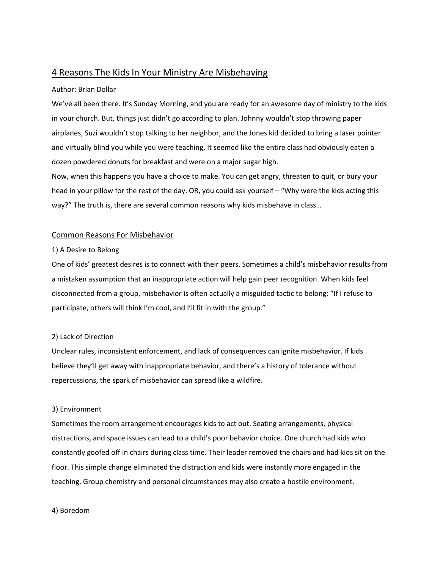# 4 Reasons The Kids In Your Ministry Are Misbehaving

### Author: Brian Dollar

We've all been there. It's Sunday Morning, and you are ready for an awesome day of ministry to the kids in your church. But, things just didn't go according to plan. Johnny wouldn't stop throwing paper airplanes, Suzi wouldn't stop talking to her neighbor, and the Jones kid decided to bring a laser pointer and virtually blind you while you were teaching. It seemed like the entire class had obviously eaten a dozen powdered donuts for breakfast and were on a major sugar high.

Now, when this happens you have a choice to make. You can get angry, threaten to quit, or bury your head in your pillow for the rest of the day. OR, you could ask yourself – "Why were the kids acting this way?" The truth is, there are several common reasons why kids misbehave in class…

## Common Reasons For Misbehavior

### 1) A Desire to Belong

One of kids' greatest desires is to connect with their peers. Sometimes a child's misbehavior results from a mistaken assumption that an inappropriate action will help gain peer recognition. When kids feel disconnected from a group, misbehavior is often actually a misguided tactic to belong: "If I refuse to participate, others will think I'm cool, and I'll fit in with the group."

## 2) Lack of Direction

Unclear rules, inconsistent enforcement, and lack of consequences can ignite misbehavior. If kids believe they'll get away with inappropriate behavior, and there's a history of tolerance without repercussions, the spark of misbehavior can spread like a wildfire.

## 3) Environment

Sometimes the room arrangement encourages kids to act out. Seating arrangements, physical distractions, and space issues can lead to a child's poor behavior choice. One church had kids who constantly goofed off in chairs during class time. Their leader removed the chairs and had kids sit on the floor. This simple change eliminated the distraction and kids were instantly more engaged in the teaching. Group chemistry and personal circumstances may also create a hostile environment.

#### 4) Boredom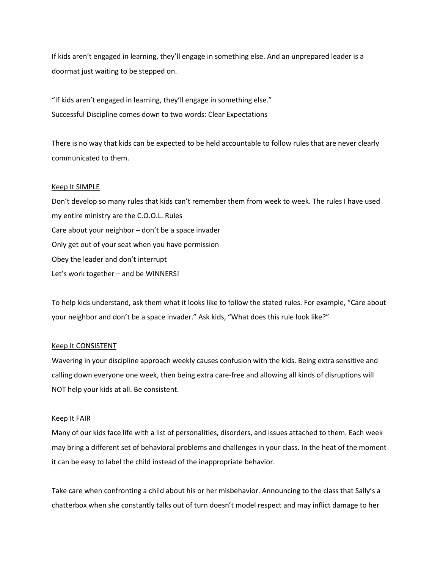If kids aren't engaged in learning, they'll engage in something else. And an unprepared leader is a doormat just waiting to be stepped on.

"If kids aren't engaged in learning, they'll engage in something else." Successful Discipline comes down to two words: Clear Expectations

There is no way that kids can be expected to be held accountable to follow rules that are never clearly communicated to them.

#### Keep It SIMPLE

Don't develop so many rules that kids can't remember them from week to week. The rules I have used my entire ministry are the C.O.O.L. Rules Care about your neighbor – don't be a space invader Only get out of your seat when you have permission Obey the leader and don't interrupt Let's work together – and be WINNERS!

To help kids understand, ask them what it looks like to follow the stated rules. For example, "Care about your neighbor and don't be a space invader." Ask kids, "What does this rule look like?"

#### Keep It CONSISTENT

Wavering in your discipline approach weekly causes confusion with the kids. Being extra sensitive and calling down everyone one week, then being extra care-free and allowing all kinds of disruptions will NOT help your kids at all. Be consistent.

#### Keep It FAIR

Many of our kids face life with a list of personalities, disorders, and issues attached to them. Each week may bring a different set of behavioral problems and challenges in your class. In the heat of the moment it can be easy to label the child instead of the inappropriate behavior.

Take care when confronting a child about his or her misbehavior. Announcing to the class that Sally's a chatterbox when she constantly talks out of turn doesn't model respect and may inflict damage to her